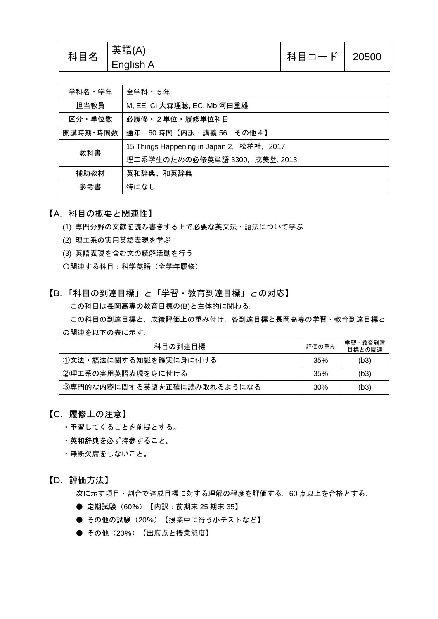| 科目名 | 「英語(A)<br>English A | 科目コード   20500 |  |
|-----|---------------------|---------------|--|
|-----|---------------------|---------------|--|

| 学科名・学年   | 全学科・5年                                    |  |  |
|----------|-------------------------------------------|--|--|
| 担当教員     | M, EE, Ci 大森理聡, EC, Mb 河田重雄               |  |  |
| 区分・単位数   | 必履修・2単位・履修単位科目                            |  |  |
| 開講時期・時間数 | 通年, 60時間【内訳:講義 56 その他4】                   |  |  |
| 教科書      | 15 Things Happening in Japan 2, 松柏社, 2017 |  |  |
|          | 理工系学生のための必修英単語 3300, 成美堂, 2013.           |  |  |
| 補助教材     | 英和辞典、和英辞典                                 |  |  |
| 参考書      | 特になし                                      |  |  |

【A.科目の概要と関連性】

- (1) 専門分野の文献を読み書きする上で必要な英文法・語法について学ぶ
- (2) 理工系の実用英語表現を学ぶ
- (3) 英語表現を含む文の読解活動を行う

○関連する科目:科学英語(全学年履修)

【B.「科目の到達目標」と「学習・教育到達目標」との対応】 この科目は長岡高専の教育目標の(B)と主体的に関わる.

この科目の到達目標と,成績評価上の重み付け,各到達目標と長岡高専の学習・教育到達目標と の関連を以下の表に示す.

| 科目の到達目標                     |     | 学習・教育到達<br>目標との関連 |
|-----------------------------|-----|-------------------|
| (1)文法・語法に関する知識を確実に身に付ける     | 35% | (b3)              |
| ②理工系の実用英語表現を身に付ける           | 35% | (b3)              |
| ③専門的な内容に関する英語を正確に読み取れるようになる | 30% | (b3)              |

## 【C.履修上の注意】

- ・予習してくることを前提とする。
- ・英和辞典を必ず持参すること。
- ・無断欠席をしないこと。

【D.評価方法】

次に示す項目・割合で達成目標に対する理解の程度を評価する.60 点以上を合格とする.

- 定期試験 (60%) 【内訳: 前期末 25 期末 35】
- その他の試験 (20%) 【授業中に行う小テストなど】
- その他 (20%) 【出席点と授業態度】